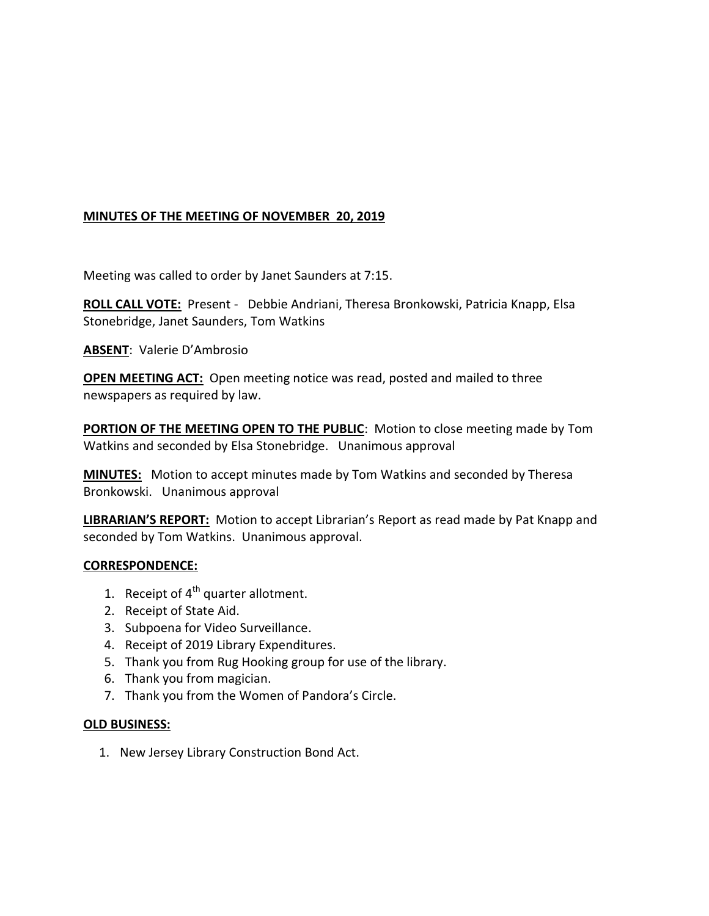# **MINUTES OF THE MEETING OF NOVEMBER 20, 2019**

Meeting was called to order by Janet Saunders at 7:15.

**ROLL CALL VOTE:** Present - Debbie Andriani, Theresa Bronkowski, Patricia Knapp, Elsa Stonebridge, Janet Saunders, Tom Watkins

**ABSENT**: Valerie D'Ambrosio

**OPEN MEETING ACT:** Open meeting notice was read, posted and mailed to three newspapers as required by law.

**PORTION OF THE MEETING OPEN TO THE PUBLIC**: Motion to close meeting made by Tom Watkins and seconded by Elsa Stonebridge. Unanimous approval

**MINUTES:** Motion to accept minutes made by Tom Watkins and seconded by Theresa Bronkowski. Unanimous approval

**LIBRARIAN'S REPORT:** Motion to accept Librarian's Report as read made by Pat Knapp and seconded by Tom Watkins. Unanimous approval.

#### **CORRESPONDENCE:**

- 1. Receipt of  $4^{\text{th}}$  quarter allotment.
- 2. Receipt of State Aid.
- 3. Subpoena for Video Surveillance.
- 4. Receipt of 2019 Library Expenditures.
- 5. Thank you from Rug Hooking group for use of the library.
- 6. Thank you from magician.
- 7. Thank you from the Women of Pandora's Circle.

## **OLD BUSINESS:**

1. New Jersey Library Construction Bond Act.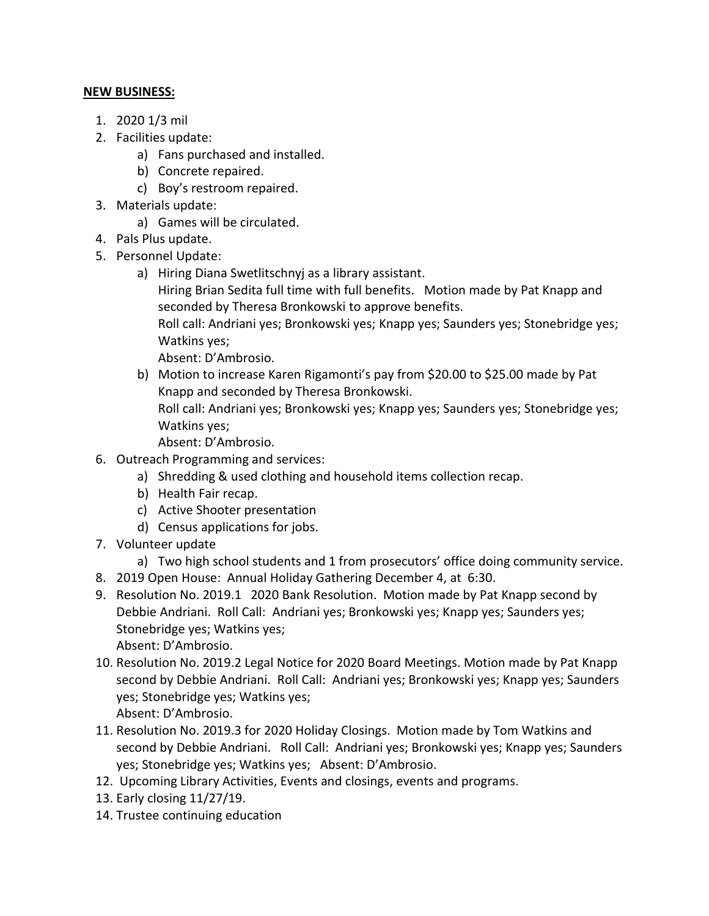### **NEW BUSINESS:**

- 1. 2020 1/3 mil
- 2. Facilities update:
	- a) Fans purchased and installed.
	- b) Concrete repaired.
	- c) Boy's restroom repaired.
- 3. Materials update:
	- a) Games will be circulated.
- 4. Pals Plus update.
- 5. Personnel Update:
	- a) Hiring Diana Swetlitschnyj as a library assistant.

Hiring Brian Sedita full time with full benefits. Motion made by Pat Knapp and seconded by Theresa Bronkowski to approve benefits.

Roll call: Andriani yes; Bronkowski yes; Knapp yes; Saunders yes; Stonebridge yes; Watkins yes;

Absent: D'Ambrosio.

b) Motion to increase Karen Rigamonti's pay from \$20.00 to \$25.00 made by Pat Knapp and seconded by Theresa Bronkowski.

Roll call: Andriani yes; Bronkowski yes; Knapp yes; Saunders yes; Stonebridge yes; Watkins yes;

Absent: D'Ambrosio.

- 6. Outreach Programming and services:
	- a) Shredding & used clothing and household items collection recap.
	- b) Health Fair recap.
	- c) Active Shooter presentation
	- d) Census applications for jobs.
- 7. Volunteer update
	- a) Two high school students and 1 from prosecutors' office doing community service.
- 8. 2019 Open House: Annual Holiday Gathering December 4, at 6:30.
- 9. Resolution No. 2019.1 2020 Bank Resolution. Motion made by Pat Knapp second by Debbie Andriani. Roll Call: Andriani yes; Bronkowski yes; Knapp yes; Saunders yes; Stonebridge yes; Watkins yes; Absent: D'Ambrosio.
- 10. Resolution No. 2019.2 Legal Notice for 2020 Board Meetings. Motion made by Pat Knapp second by Debbie Andriani. Roll Call: Andriani yes; Bronkowski yes; Knapp yes; Saunders yes; Stonebridge yes; Watkins yes; Absent: D'Ambrosio.
- 11. Resolution No. 2019.3 for 2020 Holiday Closings. Motion made by Tom Watkins and second by Debbie Andriani. Roll Call: Andriani yes; Bronkowski yes; Knapp yes; Saunders yes; Stonebridge yes; Watkins yes; Absent: D'Ambrosio.
- 12. Upcoming Library Activities, Events and closings, events and programs.
- 13. Early closing 11/27/19.
- 14. Trustee continuing education